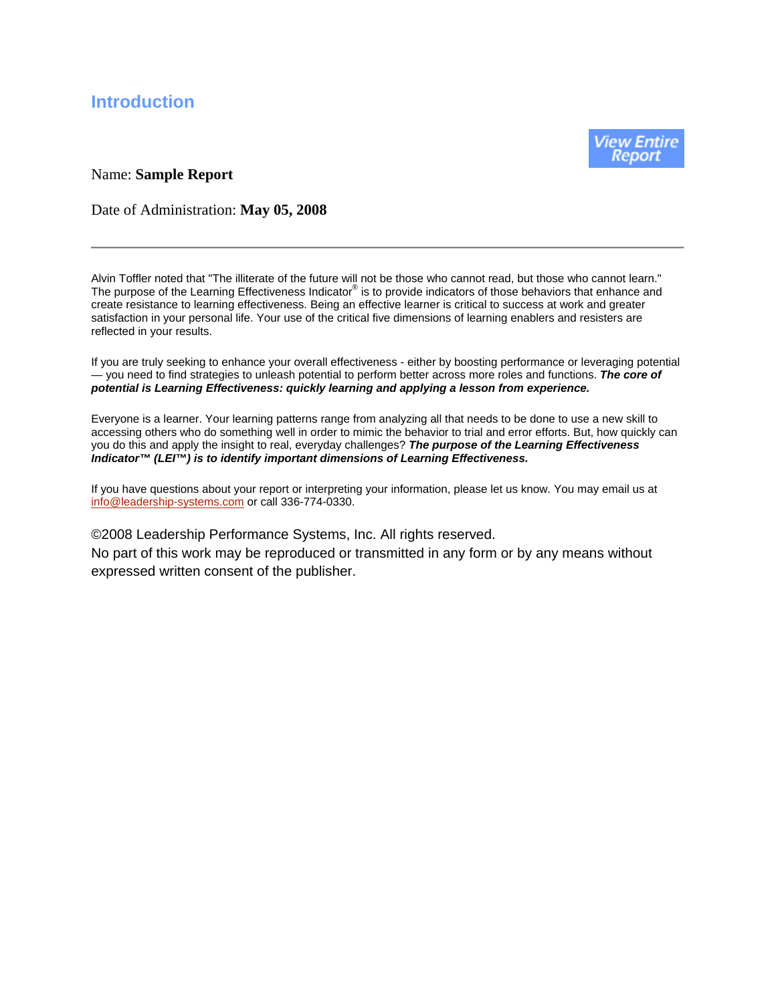# **Introduction**

#### Name: **Sample Report**

View Entire

Date of Administration: **May 05, 2008**

Alvin Toffler noted that "The illiterate of the future will not be those who cannot read, but those who cannot learn." The purpose of the Learning Effectiveness Indicator® is to provide indicators of those behaviors that enhance and create resistance to learning effectiveness. Being an effective learner is critical to success at work and greater satisfaction in your personal life. Your use of the critical five dimensions of learning enablers and resisters are reflected in your results.

If you are truly seeking to enhance your overall effectiveness - either by boosting performance or leveraging potential — you need to find strategies to unleash potential to perform better across more roles and functions. *The core of potential is Learning Effectiveness: quickly learning and applying a lesson from experience.*

Everyone is a learner. Your learning patterns range from analyzing all that needs to be done to use a new skill to accessing others who do something well in order to mimic the behavior to trial and error efforts. But, how quickly can you do this and apply the insight to real, everyday challenges? *The purpose of the Learning Effectiveness Indicator™ (LEI™) is to identify important dimensions of Learning Effectiveness.*

If you have questions about your report or interpreting your information, please let us know. You may email us at info@leadership-systems.com or call 336-774-0330.

©2008 Leadership Performance Systems, Inc. All rights reserved. No part of this work may be reproduced or transmitted in any form or by any means without expressed written consent of the publisher.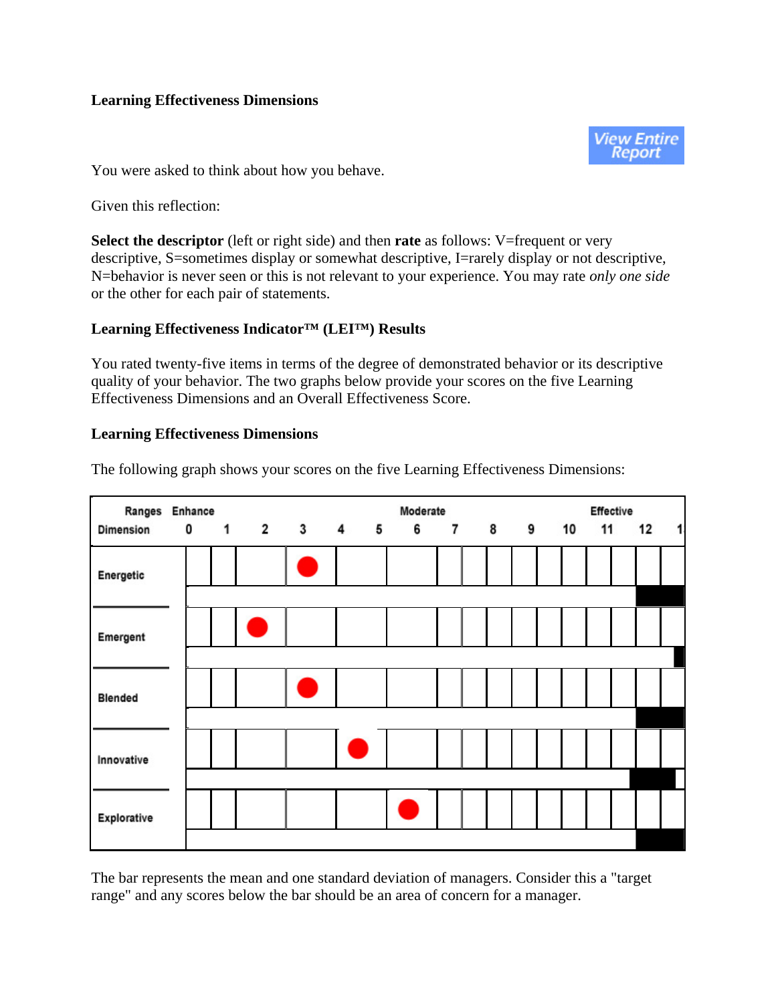#### **Learning Effectiveness Dimensions**



You were asked to think about how you behave.

Given this reflection:

**Select the descriptor** (left or right side) and then **rate** as follows: V=frequent or very descriptive, S=sometimes display or somewhat descriptive, I=rarely display or not descriptive, N=behavior is never seen or this is not relevant to your experience. You may rate *only one side* or the other for each pair of statements.

#### **Learning Effectiveness Indicator™ (LEI™) Results**

You rated twenty-five items in terms of the degree of demonstrated behavior or its descriptive quality of your behavior. The two graphs below provide your scores on the five Learning Effectiveness Dimensions and an Overall Effectiveness Score.

### **Learning Effectiveness Dimensions**

| Ranges Enhance |  |                                             |  | Moderate |            |  | Effective |    |   |
|----------------|--|---------------------------------------------|--|----------|------------|--|-----------|----|---|
| Dimension      |  | $0 \quad 1 \quad 2 \quad 3 \quad 4 \quad 5$ |  |          | 6 7 8 9 10 |  | 11        | 12 | 1 |
| Energetic      |  |                                             |  |          |            |  |           |    |   |
| Emergent       |  |                                             |  |          |            |  |           |    |   |
| <b>Blended</b> |  | e<br>Se                                     |  |          |            |  |           |    |   |
|                |  |                                             |  |          |            |  |           |    |   |
| Innovative     |  |                                             |  |          |            |  |           |    |   |
|                |  |                                             |  |          |            |  |           |    |   |
| Explorative    |  |                                             |  |          |            |  |           |    |   |
|                |  |                                             |  |          |            |  |           |    |   |

The following graph shows your scores on the five Learning Effectiveness Dimensions:

The bar represents the mean and one standard deviation of managers. Consider this a "target range" and any scores below the bar should be an area of concern for a manager.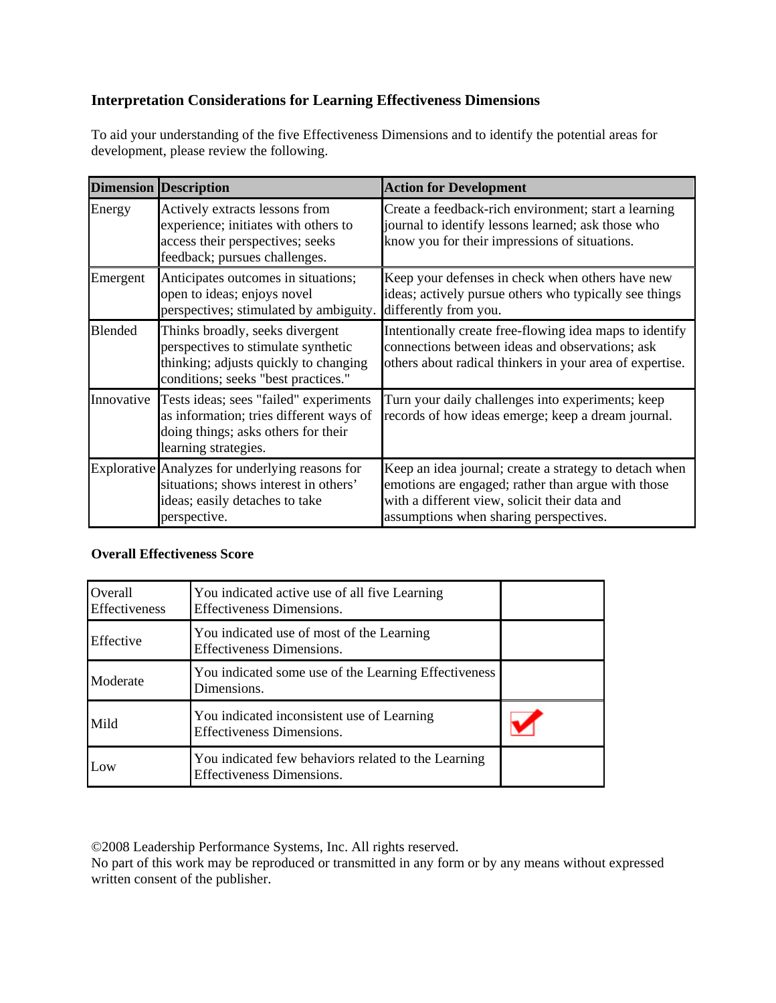# **Interpretation Considerations for Learning Effectiveness Dimensions**

To aid your understanding of the five Effectiveness Dimensions and to identify the potential areas for development, please review the following.

|            | <b>Dimension Description</b>                                                                                                                           | <b>Action for Development</b>                                                                                                                                                                           |
|------------|--------------------------------------------------------------------------------------------------------------------------------------------------------|---------------------------------------------------------------------------------------------------------------------------------------------------------------------------------------------------------|
| Energy     | Actively extracts lessons from<br>experience; initiates with others to<br>access their perspectives; seeks<br>feedback; pursues challenges.            | Create a feedback-rich environment; start a learning<br>journal to identify lessons learned; ask those who<br>know you for their impressions of situations.                                             |
| Emergent   | Anticipates outcomes in situations;<br>open to ideas; enjoys novel<br>perspectives; stimulated by ambiguity.                                           | Keep your defenses in check when others have new<br>ideas; actively pursue others who typically see things<br>differently from you.                                                                     |
| Blended    | Thinks broadly, seeks divergent<br>perspectives to stimulate synthetic<br>thinking; adjusts quickly to changing<br>conditions; seeks "best practices." | Intentionally create free-flowing idea maps to identify<br>connections between ideas and observations; ask<br>others about radical thinkers in your area of expertise.                                  |
| Innovative | Tests ideas; sees "failed" experiments<br>as information; tries different ways of<br>doing things; asks others for their<br>learning strategies.       | Turn your daily challenges into experiments; keep<br>records of how ideas emerge; keep a dream journal.                                                                                                 |
|            | Explorative Analyzes for underlying reasons for<br>situations; shows interest in others'<br>ideas; easily detaches to take<br>perspective.             | Keep an idea journal; create a strategy to detach when<br>emotions are engaged; rather than argue with those<br>with a different view, solicit their data and<br>assumptions when sharing perspectives. |

#### **Overall Effectiveness Score**

| Overall<br><b>Effectiveness</b> | You indicated active use of all five Learning<br>Effectiveness Dimensions.              |  |
|---------------------------------|-----------------------------------------------------------------------------------------|--|
| Effective                       | You indicated use of most of the Learning<br><b>Effectiveness Dimensions.</b>           |  |
| Moderate                        | You indicated some use of the Learning Effectiveness<br>Dimensions.                     |  |
| Mild                            | You indicated inconsistent use of Learning<br><b>Effectiveness Dimensions.</b>          |  |
| Low                             | You indicated few behaviors related to the Learning<br><b>Effectiveness Dimensions.</b> |  |

©2008 Leadership Performance Systems, Inc. All rights reserved.

No part of this work may be reproduced or transmitted in any form or by any means without expressed written consent of the publisher.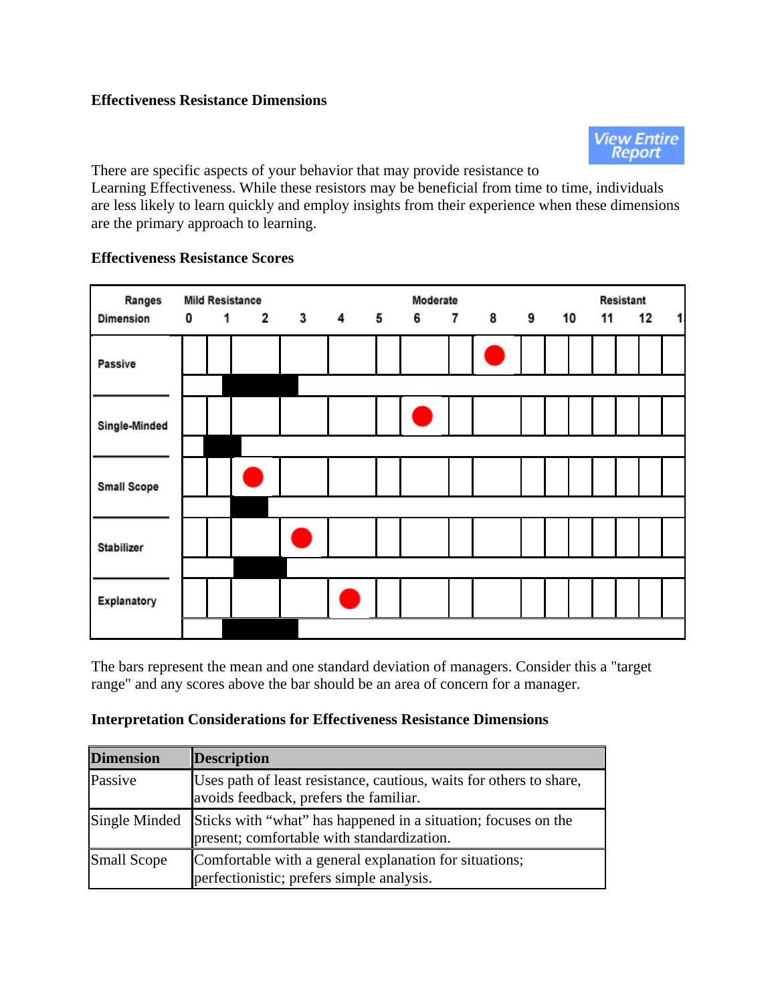### **Effectiveness Resistance Dimensions**



There are specific aspects of your behavior that may provide resistance to Learning Effectiveness. While these resistors may be beneficial from time to time, individuals are less likely to learn quickly and employ insights from their experience when these dimensions are the primary approach to learning.



# **Effectiveness Resistance Scores**

The bars represent the mean and one standard deviation of managers. Consider this a "target range" and any scores above the bar should be an area of concern for a manager.

### **Interpretation Considerations for Effectiveness Resistance Dimensions**

| <b>Dimension</b>   | <b>Description</b>                                                                                            |
|--------------------|---------------------------------------------------------------------------------------------------------------|
| Passive            | Uses path of least resistance, cautious, waits for others to share,<br>avoids feedback, prefers the familiar. |
| Single Minded      | Sticks with "what" has happened in a situation; focuses on the present; comfortable with standardization.     |
| <b>Small Scope</b> | Comfortable with a general explanation for situations;<br>perfectionistic; prefers simple analysis.           |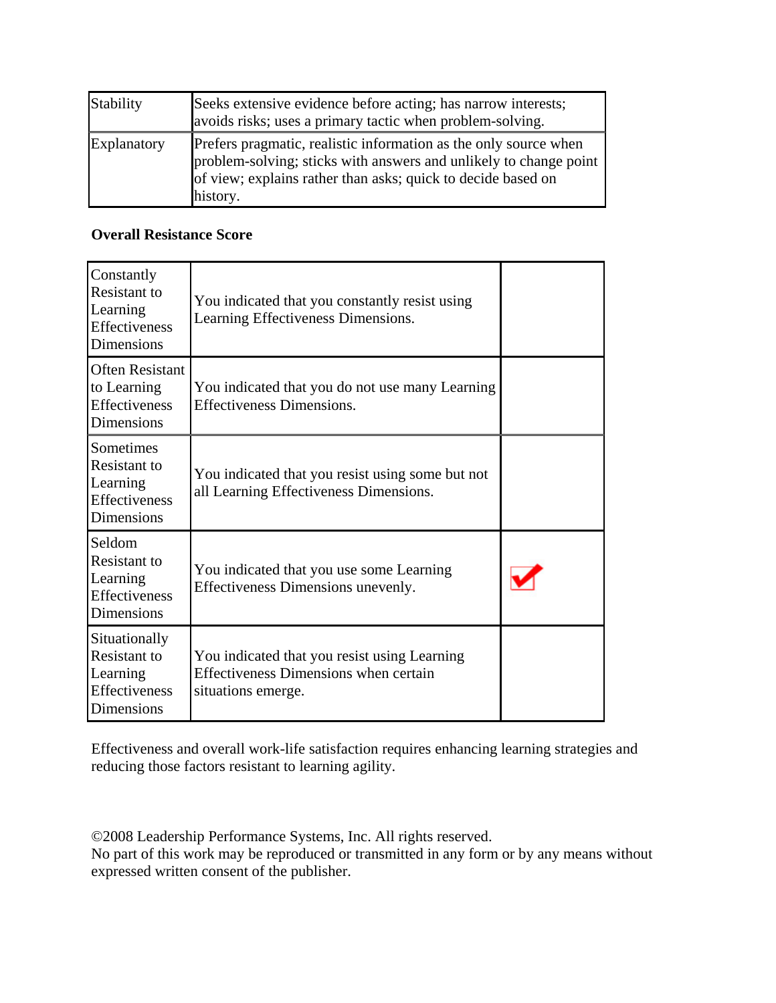| Stability   | Seeks extensive evidence before acting; has narrow interests;<br>avoids risks; uses a primary tactic when problem-solving.                                                                                        |
|-------------|-------------------------------------------------------------------------------------------------------------------------------------------------------------------------------------------------------------------|
| Explanatory | Prefers pragmatic, realistic information as the only source when<br>problem-solving; sticks with answers and unlikely to change point<br>of view; explains rather than asks; quick to decide based on<br>history. |

### **Overall Resistance Score**

| Constantly<br>Resistant to<br>Learning<br><b>Effectiveness</b><br><b>Dimensions</b>       | You indicated that you constantly resist using<br>Learning Effectiveness Dimensions.                               |  |
|-------------------------------------------------------------------------------------------|--------------------------------------------------------------------------------------------------------------------|--|
| <b>Often Resistant</b><br>to Learning<br><b>Effectiveness</b><br><b>Dimensions</b>        | You indicated that you do not use many Learning<br><b>Effectiveness Dimensions.</b>                                |  |
| <b>Sometimes</b><br>Resistant to<br>Learning<br><b>Effectiveness</b><br><b>Dimensions</b> | You indicated that you resist using some but not<br>all Learning Effectiveness Dimensions.                         |  |
| Seldom<br><b>Resistant</b> to<br>Learning<br><b>Effectiveness</b><br>Dimensions           | You indicated that you use some Learning<br>Effectiveness Dimensions unevenly.                                     |  |
| Situationally<br><b>Resistant</b> to<br>Learning<br>Effectiveness<br>Dimensions           | You indicated that you resist using Learning<br><b>Effectiveness Dimensions when certain</b><br>situations emerge. |  |

Effectiveness and overall work-life satisfaction requires enhancing learning strategies and reducing those factors resistant to learning agility.

©2008 Leadership Performance Systems, Inc. All rights reserved.

No part of this work may be reproduced or transmitted in any form or by any means without expressed written consent of the publisher.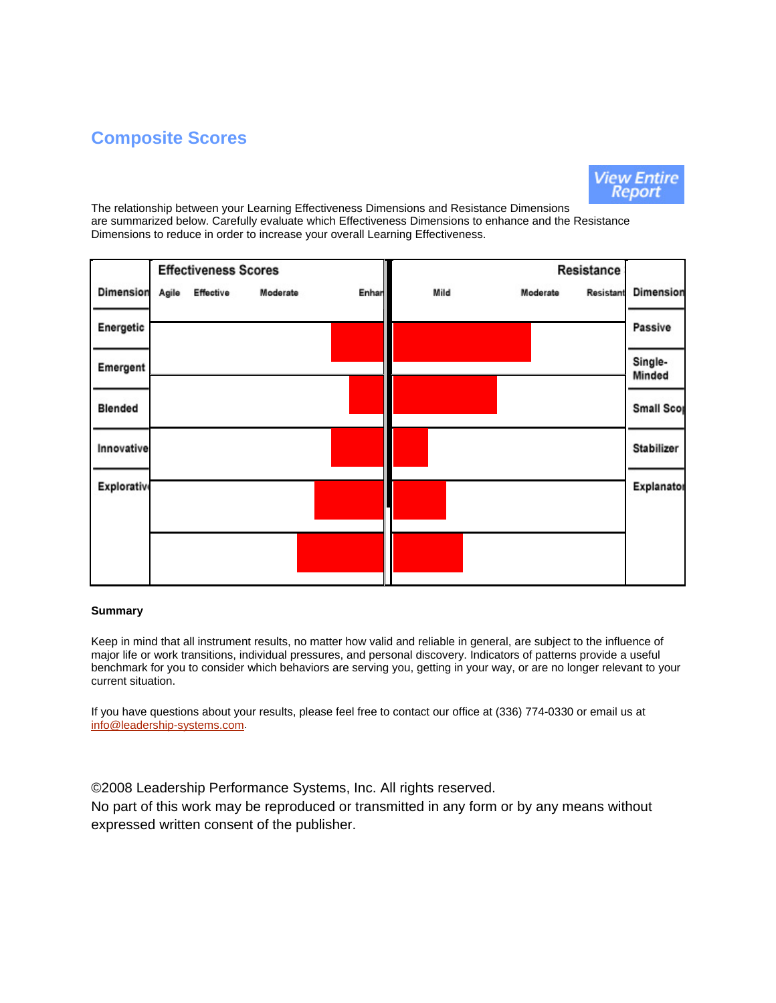# **Composite Scores**



The relationship between your Learning Effectiveness Dimensions and Resistance Dimensions are summarized below. Carefully evaluate which Effectiveness Dimensions to enhance and the Resistance Dimensions to reduce in order to increase your overall Learning Effectiveness.

|                    |       | <b>Effectiveness Scores</b> |          |       |      |          | Resistance |                   |
|--------------------|-------|-----------------------------|----------|-------|------|----------|------------|-------------------|
| <b>Dimension</b>   | Agile | Effective                   | Moderate | Enhan | Mild | Moderate | Resistant  | <b>Dimension</b>  |
| Energetic          |       |                             |          |       |      |          |            | Passive           |
| Emergent           |       |                             |          |       |      |          |            | Single-<br>Minded |
| <b>Blended</b>     |       |                             |          |       |      |          |            | <b>Small Scop</b> |
| Innovative         |       |                             |          |       |      |          |            | Stabilizer        |
| <b>Explorative</b> |       |                             |          |       |      |          |            | Explanator        |
|                    |       |                             |          |       |      |          |            |                   |
|                    |       |                             |          |       |      |          |            |                   |

#### **Summary**

Keep in mind that all instrument results, no matter how valid and reliable in general, are subject to the influence of major life or work transitions, individual pressures, and personal discovery. Indicators of patterns provide a useful benchmark for you to consider which behaviors are serving you, getting in your way, or are no longer relevant to your current situation.

If you have questions about your results, please feel free to contact our office at (336) 774-0330 or email us at info@leadership-systems.com.

©2008 Leadership Performance Systems, Inc. All rights reserved. No part of this work may be reproduced or transmitted in any form or by any means without expressed written consent of the publisher.